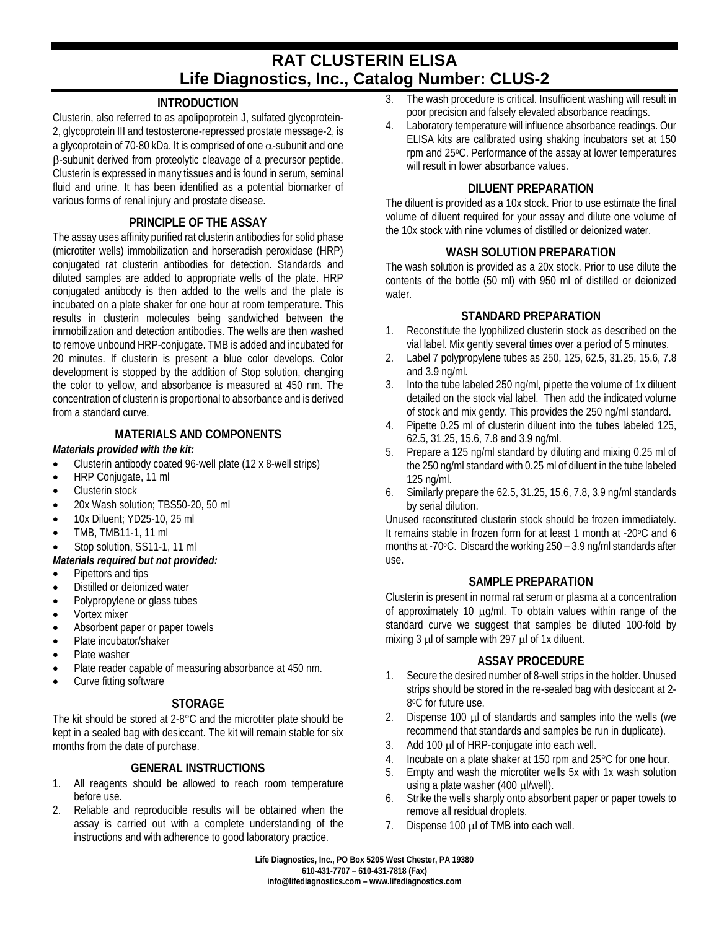# **RAT CLUSTERIN ELISA Life Diagnostics, Inc., Catalog Number: CLUS-2**

## **INTRODUCTION**

Clusterin, also referred to as apolipoprotein J, sulfated glycoprotein-2, glycoprotein III and testosterone-repressed prostate message-2, is a glycoprotein of 70-80 kDa. It is comprised of one  $\alpha$ -subunit and one β-subunit derived from proteolytic cleavage of a precursor peptide. Clusterin is expressed in many tissues and is found in serum, seminal fluid and urine. It has been identified as a potential biomarker of various forms of renal injury and prostate disease.

## **PRINCIPLE OF THE ASSAY**

The assay uses affinity purified rat clusterin antibodies for solid phase (microtiter wells) immobilization and horseradish peroxidase (HRP) conjugated rat clusterin antibodies for detection. Standards and diluted samples are added to appropriate wells of the plate. HRP conjugated antibody is then added to the wells and the plate is incubated on a plate shaker for one hour at room temperature. This results in clusterin molecules being sandwiched between the immobilization and detection antibodies. The wells are then washed to remove unbound HRP-conjugate. TMB is added and incubated for 20 minutes. If clusterin is present a blue color develops. Color development is stopped by the addition of Stop solution, changing the color to yellow, and absorbance is measured at 450 nm. The concentration of clusterin is proportional to absorbance and is derived from a standard curve.

## **MATERIALS AND COMPONENTS**

#### *Materials provided with the kit:*

- Clusterin antibody coated 96-well plate (12 x 8-well strips)
- HRP Coniugate, 11 ml
- Clusterin stock
- 20x Wash solution; TBS50-20, 50 ml
- 10x Diluent; YD25-10, 25 ml
- TMB, TMB11-1, 11 ml
- Stop solution, SS11-1, 11 ml
- *Materials required but not provided:*
- Pipettors and tips
- Distilled or deionized water
- Polypropylene or glass tubes
- Vortex mixer
- Absorbent paper or paper towels
- Plate incubator/shaker
- Plate washer
- Plate reader capable of measuring absorbance at 450 nm.
- Curve fitting software

# **STORAGE**

The kit should be stored at 2-8°C and the microtiter plate should be kept in a sealed bag with desiccant. The kit will remain stable for six months from the date of purchase.

# **GENERAL INSTRUCTIONS**

- 1. All reagents should be allowed to reach room temperature before use.
- 2. Reliable and reproducible results will be obtained when the assay is carried out with a complete understanding of the instructions and with adherence to good laboratory practice.
- 3. The wash procedure is critical. Insufficient washing will result in poor precision and falsely elevated absorbance readings.
- 4. Laboratory temperature will influence absorbance readings. Our ELISA kits are calibrated using shaking incubators set at 150 rpm and 25°C. Performance of the assay at lower temperatures will result in lower absorbance values.

## **DILUENT PREPARATION**

The diluent is provided as a 10x stock. Prior to use estimate the final volume of diluent required for your assay and dilute one volume of the 10x stock with nine volumes of distilled or deionized water.

## **WASH SOLUTION PREPARATION**

The wash solution is provided as a 20x stock. Prior to use dilute the contents of the bottle (50 ml) with 950 ml of distilled or deionized water.

## **STANDARD PREPARATION**

- 1. Reconstitute the lyophilized clusterin stock as described on the vial label. Mix gently several times over a period of 5 minutes.
- 2. Label 7 polypropylene tubes as 250, 125, 62.5, 31.25, 15.6, 7.8 and 3.9 ng/ml.
- 3. Into the tube labeled 250 ng/ml, pipette the volume of 1x diluent detailed on the stock vial label. Then add the indicated volume of stock and mix gently. This provides the 250 ng/ml standard.
- 4. Pipette 0.25 ml of clusterin diluent into the tubes labeled 125, 62.5, 31.25, 15.6, 7.8 and 3.9 ng/ml.
- 5. Prepare a 125 ng/ml standard by diluting and mixing 0.25 ml of the 250 ng/ml standard with 0.25 ml of diluent in the tube labeled 125 ng/ml.
- 6. Similarly prepare the 62.5, 31.25, 15.6, 7.8, 3.9 ng/ml standards by serial dilution.

Unused reconstituted clusterin stock should be frozen immediately. It remains stable in frozen form for at least 1 month at -20°C and 6 months at -70 $\degree$ C. Discard the working 250 – 3.9 ng/ml standards after use.

#### **SAMPLE PREPARATION**

Clusterin is present in normal rat serum or plasma at a concentration of approximately 10 µg/ml. To obtain values within range of the standard curve we suggest that samples be diluted 100-fold by mixing 3  $\mu$  of sample with 297  $\mu$  of 1x diluent.

#### **ASSAY PROCEDURE**

- 1. Secure the desired number of 8-well strips in the holder. Unused strips should be stored in the re-sealed bag with desiccant at 2- 8oC for future use.
- 2. Dispense 100 µl of standards and samples into the wells (we recommend that standards and samples be run in duplicate).
- 3. Add 100 µl of HRP-conjugate into each well.
- 4. Incubate on a plate shaker at 150 rpm and 25°C for one hour.
- 5. Empty and wash the microtiter wells 5x with 1x wash solution using a plate washer (400 µl/well).
- 6. Strike the wells sharply onto absorbent paper or paper towels to remove all residual droplets.
- 7. Dispense 100 µl of TMB into each well.

**Life Diagnostics, Inc., PO Box 5205 West Chester, PA 19380 610-431-7707 – 610-431-7818 (Fax) info@lifediagnostics.com – www.lifediagnostics.com**